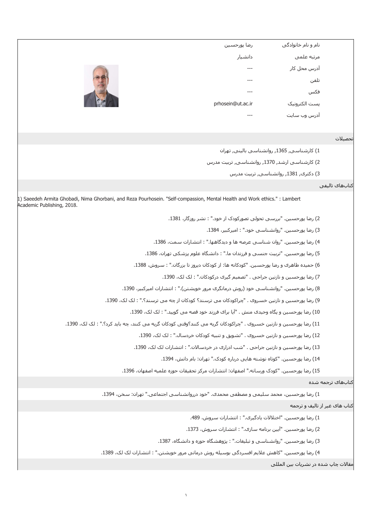|                               | نام و نام خانوادگي                                 | رضا يورحسين                                                                                                                                              |
|-------------------------------|----------------------------------------------------|----------------------------------------------------------------------------------------------------------------------------------------------------------|
|                               | مرتبه علمي                                         | دانشيار                                                                                                                                                  |
|                               | آدرس محل کار                                       |                                                                                                                                                          |
|                               | تلفن                                               |                                                                                                                                                          |
|                               | فكس                                                |                                                                                                                                                          |
|                               | يست الكترونيك                                      | prhosein@ut.ac.ir                                                                                                                                        |
|                               | آدرس وب سایت                                       |                                                                                                                                                          |
|                               |                                                    |                                                                                                                                                          |
| نحصىلات                       |                                                    |                                                                                                                                                          |
|                               | 1) كارشناسي, 1365, روانشناسي باليني, تهران         |                                                                                                                                                          |
|                               | 2) كارشناسيي ارشد, 1370, روانشناسي, تربيت مدرس     |                                                                                                                                                          |
|                               | 3) دکترې, 1381, روانشناسي, تربيت مدرس              |                                                                                                                                                          |
| كتابهاف تاليفي                |                                                    |                                                                                                                                                          |
|                               |                                                    | 1) Saeedeh Armita Ghobadi, Nima Ghorbani, and Reza Pourhosein. "Self-compassion, Mental Health and Work ethics." : Lambert<br>Academic Publishing, 2018. |
|                               |                                                    | 2) رضا پورحسین. "بررسـي تحولي تصورکودک از خود." : نشـر روزگار، 1381.                                                                                     |
|                               | 3) رضا پورحسین. "روانشناسپ خود." : امیرکبیر، 1384. |                                                                                                                                                          |
|                               |                                                    | 4) رضا پورحسین. "روان شناسبی عرصه ها و دیدگاهها." : انتشارات سمت، 1386.                                                                                  |
|                               |                                                    | 5) رضا پورحسین. "تربیت جنسبی و فرزندان ما." : دانشگاه علوم پزشکی تهران، 1386.                                                                            |
|                               |                                                    | 6) حمیده طاهرک و رضا پورحسین. "کودکانه ها: از کودکان دیروز تا بزرگان." : سروش، 1388.                                                                     |
|                               |                                                    | 7) رضا پورحسین و نازنین جراحی . "تصمیم گیری درکودکان." : لک لک، 1390.                                                                                    |
|                               |                                                    | 8) رضا پورحسین. "روانشناسی خود (روش درمانگری مرور خویشتن)." : انتشارات امیرکبیر، 1390.                                                                   |
|                               |                                                    | 9) رضا پورحسين و نازنين خسروې . "چراکودکان مې ترسند؟ کودکان از چه مې ترسند؟." : لک لک، 1390.                                                             |
|                               |                                                    | 10) رضا پورحسین و یگاه وحیدی منش . "آیا برای فرزند خود قصه می گویید." : لک لک، 1390.                                                                     |
|                               |                                                    | 11) رضا پورحسین و نازنین خسروک . "چراکودکان گریه می کنند؟وقتی کودکان گریه می کنند، چه باید کرد؟." : لک لک، 1390.                                         |
|                               |                                                    | 12) رضا پورحسین و نازنین خسروی . "تشویق و تنبیه کودکان خردسال." : لک لک، 1390.                                                                           |
|                               |                                                    | 13) رضا پورحسین و نازنین جراحی . "شب ادراری در خردسالان." : انتشارات لک لک، 1390.                                                                        |
|                               |                                                    | 14) رضا پورحسـين. "كوتاه نوشـته هايي درباره كودک." تهران: بام دانش، 1394.                                                                                |
|                               |                                                    | 15) رضا پورحسـين. "كودک ورسـانه." اصفـهان: انتشـارات مركز تحقيقات حوزه علميه اصفـهان، 1396.                                                              |
| كتابهاى ترجمه شده             |                                                    |                                                                                                                                                          |
|                               |                                                    | 1) رضا پورحسین، محمد سلیمی و مصطفی محمدی. "خود درروانشناسیی اجتماعی." تهران: سخن، 1394.                                                                  |
| کتاب های غیر از تالیف و ترجمه |                                                    |                                                                                                                                                          |
|                               |                                                    | 1) رضا پورحسـين. "اختلالات يادگيرې." : انتشـارات سـروش، 489.                                                                                             |
|                               |                                                    | 2) رضا پورحسین. "آیین برنامه سازی." : انتشارات سروش، 1373.                                                                                               |
|                               |                                                    | 3) رضا پورحسین. "روانشناسـی و تبلیغات." : پژوهشـگاه حوزه و دانشـگاه، 1387.                                                                               |
|                               |                                                    | 4) رضا پورحسین. "کاهش علایم افسردگی بوسیله روش درمانی مرور خویشتن." : انتشارات لک لک، 1389.                                                              |
|                               | مقالات چاپ شده در نشریات بین المللی                |                                                                                                                                                          |
|                               |                                                    |                                                                                                                                                          |
|                               |                                                    | $\lambda$                                                                                                                                                |
|                               |                                                    |                                                                                                                                                          |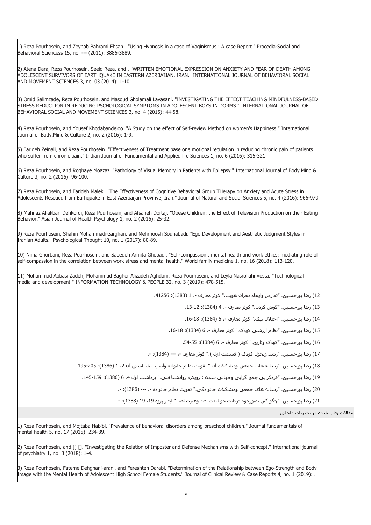1) Reza Pourhosein, and Zeynab Bahrami Ehsan . "Using Hypnosis in a case of Vaginismus : A case Report." Procedia-Social and Behavioral Sciencess 15, no. --- (2011): 3886-3889.

2) Atena Dara, Reza Pourhosein, Seeid Reza, and . "WRITTEN EMOTIONAL EXPRESSION ON ANXIETY AND FEAR OF DEATH AMONG ADOLESCENT SURVIVORS OF EARTHQUAKE IN EASTERN AZERBAIJAN, IRAN." INTERNATIONAL JOURNAL OF BEHAVIORAL SOCIAL AND MOVEMENT SCIENCES 3, no. 03 (2014): 1-10.

3) Omid Salimzade, Reza Pourhosein, and Masoud Gholamali Lavasani. "INVESTIGATING THE EFFECT TEACHING MINDFULNESS-BASED STRESS REDUCTION IN REDUCING PSCHOLOGICAL SYMPTOMS IN ADOLESCENT BOYS IN DORMS." INTERNATIONAL JOURNAL OF BEHAVIORAL SOCIAL AND MOVEMENT SCIENCES 3, no. 4 (2015): 44-58.

4) Reza Pourhosein, and Yousef Khodabandeloo. "A Study on the effect of Self-review Method on women's Happiness." International Journal of Body,Mind & Culture 2, no. 2 (2016): 1-9.

5) Farideh Zeinali, and Reza Pourhosein. "Effectiveness of Treatment base one motional reculation in reducing chronic pain of patients who suffer from chronic pain." Indian Journal of Fundamental and Applied life Sciences 1, no. 6 (2016): 315-321.

6) Reza Pourhosein, and Roghaye Moazaz. "Pathology of Visual Memory in Patients with Epilepsy." International Journal of Body,Mind & Culture 3, no. 2 (2016): 96-100.

7) Reza Pourhosein, and Farideh Maleki. "The Effectiveness of Cognitive Behavioral Group THerapy on Anxiety and Acute Stress in Adolescents Rescued from Earhquake in East Azerbaijan Provinve, Iran." Journal of Natural and Social Sciences 5, no. 4 (2016): 966-979.

8) Mahnaz Aliakbari Dehkordi, Reza Pourhosein, and Afsaneh Dortaj. "Obese Children: the Effect of Television Production on their Eating Behavior." Asian Journal of Health Psychology 1, no. 2 (2016): 25-32.

9) Reza Pourhosein, Shahin Mohammadi-zarghan, and Mehrnoosh Soufiabadi. "Ego Development and Aesthetic Judgment Styles in Iranian Adults." Psychological Thought 10, no. 1 (2017): 80-89.

10) Nima Ghorbani, Reza Pourhosein, and Saeedeh Armita Ghobadi. "Self-compassion , mental health and work ethics: mediating role of self-compassion in the correlation between work stress and mental health." World family medicine 1, no. 16 (2018): 113-120.

11) Mohammad Abbasi Zadeh, Mohammad Bagher Alizadeh Aghdam, Reza Pourhosein, and Leyla Nasrollahi Vosta. "Technological media and development." INFORMATION TECHNOLOGY & PEOPLE 32, no. 3 (2019): 478-515.

12) رضا پورحسين. "تعارض وايجاد بحران هويت." كوثر معارف -، 1 (1383): 41256.

13) رضا پورحسين. "گوش کردن." کوثر معارف ،- 4 (1384): .13-12

14) رضا پورحسين. "اختلال تيک." کوثر معارف ،- 5 (1384): .16-18

15) رضا پورحسين. "نظام ارزشي کودک." کوثر معارف -، 6 (1384): 18-16.

16) رضا پورحسين. "کودک وتاريخ." کوثر معارف ،- 6 (1384): .54-55

17) رضا پورحسين. "رشد وتحول کودک ( قسمت اول )." کوثر معارف ،- --- (1384): .-

18) رضا پورحسين. "رسانه هاى جمعى ومشکلات آن." تقويت نظام خانواده وآسيب شناسى آن 2، 1 (1386): 205-195.

19) رضا پورحسين. "فردگرايى جمع گرايى وجهانى شدن : رويکرد روانشناختى." برداشت اول 4، 6 (1386): 145-145.

20) رضا پورحسين. "رسانه هاى جمعى ومشکلات خانوادگى." تقويت نظام خانواده ،- --- (1386): .-

21) رضا پورحسين. "چگونگى تصورخود دردانشجويان شاهد وغيرشاهد." ايثار پژوه 19، 19 (1388): -.

مقالات چاپ شده در نشريات داخلى

1) Reza Pourhosein, and Mojtaba Habibi. "Prevalence of behavioral disorders among preschool children." Journal fundamentals of mental health 5, no. 17 (2015): 234-39.

2) Reza Pourhosein, and [] []. "Investigating the Relation of Imposter and Defense Mechanisms with Self-concept." International journal of psychiatry 1, no. 3 (2018): 1-4.

3) Reza Pourhosein, Fateme Dehghani-arani, and Fereshteh Darabi. "Determination of the Relationship between Ego-Strength and Body Image with the Mental Health of Adolescent High School Female Students." Journal of Clinical Review & Case Reports 4, no. 1 (2019): .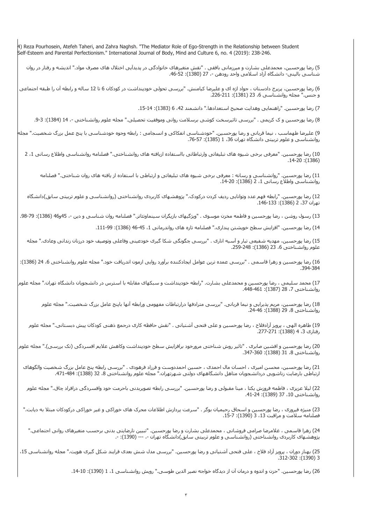4) Reza Pourhosein, Atefeh Taheri, and Zahra Naghsh. "The Mediator Role of Ego-Strength in the Relationship between Student Self-Esteem and Parental Perfectionism." International Journal of Body, Mind and Culture 6, no. 4 (2019): 238-246.

5) رضا پورحسين، محمدعلى بشارت و ميرزمانى بافقى . "نقش متغيرهاى خانوادگى در پديدآيى اختلال هاى مصرف مواد." انديشه و رفتار در روان شناسـي باليني- دانشگاه آزاد اسـلامي واحد رودهن -، 27 (1380): 52-46.

6) رضا پورحسين، پريرخ دادستان ، جواد اژه اى و عليرضا کيامنش. "بررسى تحولى خودپنداشت در کودکان 6 تا 12 ساله و رابطه آن را طبقه اجتماعى و جنس." مجله روانشناسى ،6 23 (1381): .226-211

7) رضا پورحسين. "راهنمايي وهدايت صحيح استعدادها." دانشمند 42، 6 (1383): 14-15.

8) رضا پورحسين و ک کريمى . "بررسى تاثيرسخت کوشى برسلامت روانى وموفقيت تحصيلى." مجله علوم روانشناختى -، 14 (1384): 3-9.

9) عليرضا طهماسب ، نيما قربانى و رضا پورحسين. "خودشناسى انفکاکى و انسجامى : رابطه وجوه خودشناسى با پنج عمل بزرگ شخصيت." مجله روانشناسى و علوم تربيتى دانشگاه تهران 36، 1 (1385): 75-76.

10) رضا پورحسين. "معرفى برخى شيوه هاى تبليغاتى وارتباطاتى بااستفاده ازيافته هاى روانشناختى." فصلنامه روانشناسى واطلاع رسانى ،1 2 .14-20 :(1386)

11) رضا پورحسين. "روانشناسى و رسانه : معرفى برخى شيوه هاى تبليغاتى و ارتباطى با استفاده از يافته هاى روان شناختى." فصلنامه روانشناسي واطلاع رساني 1، 2 (1386): 20-14.

12) رضا پورحسين. "رابطه فهم عدد وتوانايى رديف کردن درکودک." پژوهشهاى کاربردى روانشناختى (روانشناسى و علوم تربيتى سابق)دانشگاه تهران ،37 2 (1386): .146-133

13) رسول روشن ، رضا پورحسين و فاطمه مخزن موسوى . "ويژگيهاى بازيگران سينماوتئاتر." فصلنامه روان شناسىي و دين -، 45و46 (1386): 79-98.

14) رضا پورحسين. "افزايش سطح خويشتن پندارى." فصلنامه تازه هاى رواندرمانى 1، 45-46 (1386): 99-111.

15) رضا پورحسين، مهديه شفيعى تبار و آسيه انارى . "بررسى چگونگى شکا گيرى خودعينى وفاعلى وتوصيف خود درزنان زندانى وعادى." مجله علوم روانشناختى 6، 23 (1386): 248-259.

16) رضا پورحسين و زهرا قاسمى . "بررسى عمده ترين عوامل ايجادکننده برآورد روايى ازمون اندريافت خود." مجله علوم روانشناختى ،6 24 (1386): .394-384

17) محمد سليمى ، رضا پورحسين و محمدعلى بشارت. "رابطه خودپنداشت و سبکهاى مقابله با استرس در دانشجويان دانشگاه تهران." مجله علوم روانشناختى ،7 28 (1387): .448-461

18) رضا پورحسين، مريم پذيرايى و نيما قربانى. "بررسى مترادفها درارتباطات مفهومى ورابطه آنها باپنج عامل بزرگ شخصيت." مجله علوم روانشناختى 8، 29 (1388): 24-46.

19) طاهره الهى ، پرويز آزادفلاح ، رضا پورحسين و على فتحى آشتيانى . "نقش حافظه کارى درجمع ذهنى کودکان پيش دبستانى." مجله علوم رفتارى ،3 4 (1388): .277-271

20) رضا پورحسين و افشين صابرى . "تاثير روش شناختى مرورخود برافزايش سطح خودپنداشت وکاهش علايم افسردگى (تک بررسى)." مجله علوم روانشناختى 8، 31 (1388): 347-360.

21) رضا پورحسين، محسن اميرى ، احسان مال احمدى ، حسين احمددوست و فرزاد فرهودى . "بررسى رابطه پنج عامل بزرگ شخصيت والگوهاى ارتباطى بارضايت زناشويى دردانشجويان متاهل دانشگاههاى دولتى شـهرتهران." مجله علوم روانشناختى 8، 32 (1388): 484-471.

22) ليلا عزيزى ، فاطمه فروزش يکتا ، مينا مقبولى و رضا پورحسين. "بررسى رابطه تصويربدنى باحرمت خود وافسردگى درافراد چاق." مجله علوم روانشناختى 10، 37 (1389): 24-41.

23) منيژه فيروزى ، رضا پورحسين و اسحاق رحيميان بوگر . "سرعت پردازش اطلاعات محرک هاى خوراکى و غير خوراکى درکودکان مبتلا به ديابت." فصلنامه سـلامت و مراقبت 13، 3 (1390): 7-15.

24) زهرا قاسمى ، غلامرضا صرامى فروشانى ، محمدعلى بشارت و رضا پورحسين. "تبيين نارضايتى بدنى برحسب متغيرهاى روانى اجتماعى." پژوهشهاى کاربردى روانشناختى (روانشناسى و علوم تربيتى سابق)دانشگاه تهران ،- --- (1390): .-

25) بهناز دوران ، پرویز آزاد فلاح ، علی فتحی آشتیانی و رضا پورحسین. "بررسی مدل شش بعدی فرایند شکل گیری هویت." مجله روانشناسی 15، .312-302 :(1390) 3

26) رضا پورحسـين. "حزن و اندوه و درمان آن از ديدگاه خواجه نصير الدين طوسـي." رويش روانشـناسـي 1، 1 (1390): 10-14.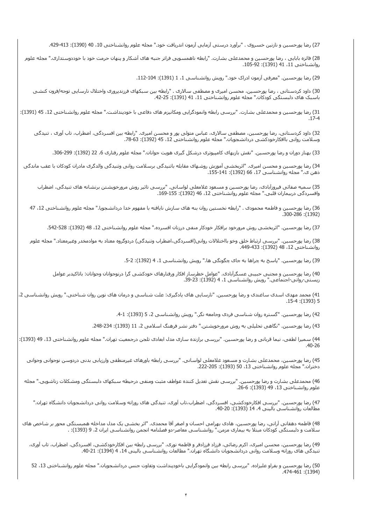27) رضا پورحسين و نازنين خسروى . "برآورد درستى آزمايى آزمون اندريافت خود." مجله علوم روانشناختى ،10 40 (1390): .429-413

28) فائزه بابايى ، رضا پورحسين و محمدعلى بشارت. "رابطه ناهمسويى فراتر جنبه هاى آشکار و پنهان حرمت خود با خوددوستدارى." مجله علوم روانشناختى 11، 41 (1391): 92-105.

29) رضا پورحسين. "معرفى آزمون ادراک خود." رويش روانشناسى 1، 1 (1391): 104-112.

30) داود کردستانى ، رضا پورحسين، محسن اميرى و مصطفى سالارى . "رابطه بين سبکهاى فرزندپرورى واختلال نارسايى توجه/فزون کنشى باسبک های دلبستگى کودکان." مجله علوم روانشناختى 11، 41 (1391): 25-42.

31) رضا پورحسین و محمدعلى بشارت. "بررسى رابطه وانمودگرايى ومكانيزم هاى دفاعى با خودپنداشت." مجله علوم روانشناختى 12، 45 (1391): .17-4

32) داود کردستانى، رضا پورحسين، مصطفى سالارى، عباس متولى پور و محسن اميرى. "رابطه بين افسردگى، اضطراب، تاب آورى ، تنيدگى وسلامت روانى باافکارخودکشى دردانشجويان." مجله علوم روانشناختى 12، 45 (1392): 63-78.

33) بهناز دوران و رضا پورحسـين. "نقش بازيهاى کامپيوترى درشکل گيرى هويت جوانان." مجله علوم رفتارى 6، 22 (1392): 299-306.

34) رضا پورحسین و محسـن امیری. "اثربخشـی آموزش روشـهای مقابله باتنیدگی برسـلامت روانی وتنیدگی والدگری مادران کودکان با عقب ماندگی ذهن ى." مجله روانشناسى 17، 66 (1392): 141-155.

35) سميه صفائى فيروزآبادى، رضا پورحسين و مسعود غلامعلى لواسانى. "بررسى تاثير روش مرورخويشتن برنشانه هاى تنيدگى، اضطراب وافسردگى دربيماران قلبى." مجله علوم روانشناختى 12، 46 (1392): 155-169.

36) رضا پورحسين و فاطمه محمودى . "رابطه نخستين روان بنه هاى سازش نايافته با مفهوم خدا دردانشجويا." مجله علوم روانشناختى 12، 47 .300-286 :(1392)

37) رضا پورحسين. "اثربخشـى روش مرورخود برافكار خودكار منفى درزنان افسـرده." مجله علوم روانشـناختى 12، 48 (1392): 528-542.

38) رضا پورحسين. "بررسى ارتباط خلق وخو بااختلالات روانى(افسردگى،اضطراب وتنيدگى) دردوگروه معتاد به موادمخدر وغيرمعتاد." مجله علوم روانشناختى 12، 48 (1392): 449-433.

39) رضا پورحسين. "پاسخ به چراها به جاى چگونگى ها." رويش روانشناسى 1، 4 (1392): 2-5.

40) رضا پورحسين و مجتبى حبيبى عسگرآبادى. "عوامل خطرساز افکار ورفتارهاى خودکشى گرا درنوجوانان وجوانان: باتاکيدبر عوامل زيستى-روانى-اجتماعى." رويش روانشناسى 1، 4 (1392): 23-39.

41) محمد مهدى اسدى ساغندى و رضا پورحسين. "نارسايى هاى يادگيرى: علت شناسى و درمان هاى نوين روان شناختى." رويش روانشناسى 2، .15-4 :(1393) 5

42) رضا پورحسين. "گستره روان شناسى فردى وجامعه نگر." رويش روانشناسى 2، 5 (1393): 1-4.

43) رضا پورحسين. "نگاهى تحليلى به روش مرورخويشتن." دفتر نشر فرهنگ اسلامى 2، 11 (1393): 234-248.

44) سمیرا لطفی، نیما قربانی و رضا پورحسین. "بررسی برازنده سازی مدل ابعادی تلجن درجمعیت تهران." مجله علوم روانشناختی 13، 49 (1393): .40-26

45) رضا پورحسين، محمدعلى بشارت و مسعود غلامعلى لواسانى. "بررسى رابطه باورهاى غيرمنطقى وارزيابى بدنى دردوسن نوجوانى وجوانى دختران." مجله علوم روانشناختى 13، 50 (1393): 222-205.

46) محمدعلى بشارت و رضا پورحسين. "بررسى نقش تعديل کننده عواطف مثبت ومنفى درحيطه سبکهاى دلبستگى ومشکلات زناشويى." مجله علوم روانشناختى 13، 49 (1393): 6-26.

47) رضا پورحسين. "بررسى افکارخودکشى، افسردگى، اضطراب،تاب آورى، تنيدگى هاى روزانه وسلامت روانى دردانشجويان دانشگاه تهران." مطالعات روانشناسي باليني 4، 14 (1393): 20-40.

48) فاطمه دهقانى آرانى، رضا پورحسين، هادى بهرامى احسان و اصغر آقا محمدى. "اثر بخشى يک مدل مداخله همبستگى محور بر شاخص هاى سلامت و دلبستگى کودکان مبتلا به بيمارى مزمن." روانشناسى معاصر-دو فصلنامه انجمن روانشناسى ايران ،2 9 (1393): .

49) رضا پورحسين، محسن اميرى، اکرم رضائى، فرزاد فرزادفر و فاطمه نورى. "بررسى رابطه بين افکارخودکشى، افسردگى، اضطراب، تاب آورى، تنيدگى هاى روزانه وسلامت روانى دردانشجويان دانشگاه تهران." مطالعات روانشناسى بالينى 14، 4 (1394): 21-40.

50) رضا پورحسين و بفراو عليزاده. "بررسـى رابطه بين وانمودگرايى باخودپنداشت وتفاوت جنس دردانشجويان." مجله علوم روانشناختى 13، 52 .474-461 :(1394)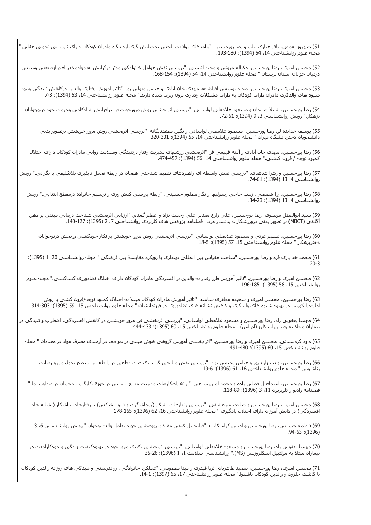51) شهروز نعمتى، باقر غبارى بناب و رضا پورحسين. "پيامدهاى روان شناختى بخشايش گرى ازديدگاه مادران کودکان داراى نارسايى تحولى عقلى." مجله علوم روانشناختى ،14 54 (1394): .193-180

52) محسن اميرى، رضا پورحسين، ذکراله مروتى و مجيد انيسى. "بررسى نقش عوامل خانوادگى موثر درگرايش به موادمخدر اعم ازصنعتى وسنتى درميان جوانان استان لرستان." مجله علوم روانشناختى ،14 54 (1394): .168-154

53) محسن اميرى، رضا پورحسين، مجيد يوسفى افراشته، مهدى خان آبادى و عباس متولى پور. "تاثير آموزش رفتارى والدين درکاهش تنيدگى وببود شيوه هاى والدگرى مادران داراى کودکان يه داراى مشکلات رفتارى برون ريزى شده دارند." مجله علوم روانشناختى 14، 53 (1394): 7-7.

54) رضا پورحسين، شيلا شيخان و مسعود غلامعلى لواسانى. "بررسى اثربخشى روش مرورخويشتن برافزايش شادکامى وحرمت خود درنوجوانان بزهکار." رويش روانشناسـي 3، 9 (1394): 72-61.

55) يوسف خدابده لو، رضا پورحسين، مسعود غلامعلى لواسانى و نگين معتضديگانه. "بررسى اثربخشى روش مرور خويشتن برتصوير بدنى دانشجويان دختردانشگاه تهران." مجله علوم روانشناختى 14، 55 (1394): 320-320.

56) رضا پورحسين، مهدى خان آبادى و آمنه فهيمى فر. "اثربخشى روشهاى مديريت رفتار درتنيدگى وسلامت روانى مادران کودکان داراى اختلال کمبود توجه / فزون کنشـى." مجله علوم روانشـناختى 14، 56 (1394): 474-457.

57) رضا پورحسين و زهرا هدهدى. "بررسى نقش واسطه اى راهبردهاى تنظيم شناختى هيجان در رابطه تحمل ناپذيرى بلاتکليفى با نگرانى." رويش روانشناسى ،4 13 (1394): .74-61

58) رضا پورحسين، رزا شفيعى، زينب حاجى رسوليها و نگار مظلوم حسينى. "رابطه بررسى کنش ورى و ترسيم خانواده درمقطع ابتدايى." رويش روانشناسى 4، 13 (1394): 23-34.

59) سيد ابوالفضل موسوى، رضا پورحسين، على زارع مقدم، على رحمت نژاد و اعظم گمنام. "ارزيابى اثربخشى شناخت درمانى مبتنى بر ذهن آگاهى (MBCT (بر تصوير بدنى درورزشکاران بدنساز مرد." فصلنامه پژوهش هاى کاربردى روانشناختى ،7 2 (1395): .140-127

60) رضا پورحسين، نسيم عزتى و مسعود غلامعلى لواسانى. "بررسى اثربخشى روش مرور خويشتن برافکار خودکشى ورنجش درنوجوانان دختربزهکار." مجله علوم روانشناختى 15، 57 (1395): 5-18.

61) محمد خدايارى فرد و رضا پورحسين. "ساخت مقياس بين المللى ديندارى با رويکرد مقايسة بين فرهنگى." مجله روانشناسى ،20 1 (1395): .20-3

62) محسن اميرى و رضا پورحسين. "تاثير آموزش طرز رفتار به والدين بر افسردگى مادران کودکان داراى اختلال تضادورزى کشاکشى." مجله علوم روانشناختى 15، 58 (1395): 185-196.

63) رضا پورحسين، محسن اميرى و سعيده مظفرى ساغند. "تاثير آموزش مادران کودکان مبتلا به اختلال کمبود توجه/فزون کشى با روش آدلر-درايکورس در بهبود شيوه هاى والدگرى و کاهش نشانه هاى تضادورزى در فرزندانشان." مجله علوم روانشناختى ،15 59 (1395): .314-303

64) مهسا يعقوبى راد، رضا پورحسين و مسعود غلامعلى لواسانى. "بررسى اثربخشى فن مرور خويشتن در کاهش افسردگى، اضطراب و تنيدگى در بيماران مبتلا به چندين اسكلرز (ام اس)." مجله علوم روانشناختى 15، 60 (1395): 444-433.

65) داود کردستانى، محسن اميرى و رضا پورحسين. "اثر بخشى آموزش گروهى هوش مبتنى بر عواطف در آزمندى مصرف مواد در معتادان." مجله علوم روانشناختى 15، 60 (1395): 490-491.

66) رضا پورحسين، زينب زارع پور و عباس رحيمى نژاد. "بررسى نقش ميانجى گر سبک هاى دفاعى در رابطه بين سطح تحول من و رضايت زناشويى." مجله علوم روانشناختى 16، 61 (1396): 6-19.

67) رضا پورحسين، اسماعيل فضلى زاده و محمد امين ساعى. "ارائة راهکارهاى مديريت منابع انسانى در حوزة بکارگيرى مجريان در صداوسيما." فصلنامه راديو و تلويزيون ،11 3 (1396): .118-89

68) محسن اميرى، رضا پورحسين و شادى ميرعشقى. "بررسى رفتارهاى آشکار (پرخاشگرى و قانون شکنى) با رفتارهاى ناآشکار (نشانه هاى افسردگى) در دانش آموزان داراى اختلال يادگيرى." مجله علوم روانشناختى 16، 62 (1396): 165-178.

69) فاطمه حسينى، رضا پورحسين و آديس کراسکايان. "فراتحليل کيفى مقالات پژوهشى حوزه تعامل والد- نوجوان." رويش روانشناسى ،6 3 .94-63 :(1396)

70) مهسا يعقوبى راد، رضا پورحسين و مسعود غلامعلى لواسانى. "بررسى اثربخشى تکنيک مرور خود در بهبودکيفيت زندگى و خودکارآمدى در بيماران مبتلاً به مولتيپل اسکلروزيس (MS)." روانشناسي سلامت 1، 1 (1396): 35-35.

71) محسن اميرى، رضا پورحسين، سعيد طاهريان، ثريا قيدرى و مينا معصومى. "عملکرد خانوادگى، رواندرستى و تنيدگى هاى روزانه والدين کودکان با کاشت حلزون و والدين کودکان ناشنوا." مجله علوم روانشناختى ،17 65 (1397): .14-1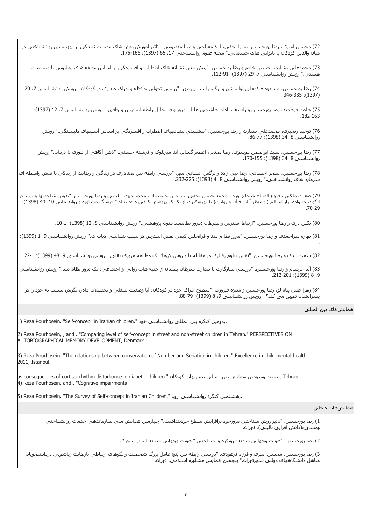72) محسن اميرى، رضا پورحسين، سارا نجفى، ليلا معراجى و مينا معصومى. "تاثير آموزش روش هاى مديريت تنيدگى بر بهزيستى روانشناختى در ميان والدين كودكان با ناتوانى هاى جسمانى." مجله علوم روانشناختى 17، 66 (1397): 166-175.

73) محمدعلى بشارت، حسين خادم و رضا پورحسين. "پيش بينى نشانه هاى اضطراب و افسردگى بر اساس مولفه هاى رويارويى با مسلمات هسـتى." رويش روانشـناسـي 7، 29 (1397): 91-112.

74) رضا پورحسين، مسعود غلامعلى لواسانى و نرگس انسانى مهر. "ررسى تحولى حافظه و ادراک ديدارى در کودکان." رويش روانشناسى ،7 29 .346-335 :(1397)

75) هادى فرهمند، رضا پورحسين و راضيه سادات هاشمى عليا. "مرور و فراتحليل رابطه استرس و چاقى." رويش روانشناسى ،7 12 (1397): .182-163

76) توحيد رنجبرى، محمدعلى بشارت و رضا پورحسين. "پيشبينى نشانههاى اضطراب و افسردگى بر اساس آسيبهاى دلبستگى." رويش روانشناسى 8، 34 (1398): 77-86.

77) رضا پورحسين، سيد ابوالفضل موسوى، رضا مقدم ، اعظم گمنام، آتنا ميربلوک و فرشته حسنى. "ذهن آگاهى از تئورى تا درمان." رويش روانشناسى ،8 34 (1398): .170-155

78) رضا پورحسين، سحر احسانى، رضا نبى زاده و نرگس انسانى مهر. "بررسى رابطه بين معنادارى در زندگى و رضايت از زندگى با نقش واسطه اى سرمايه هاى روانشناختى." رويش روانشناسى 8، 4 (1398): 235-232.

79) صغرى ملکى ، فروغ الصباح شجاع نورى، محمد حسن نجفى، سيمين حسينيان، محمد مهدى لبيبى و رضا پورحسين. "تدوين شاخصها و ترسيم الگوى خانواده تراز اسالم )از منظر آيات قرآن و روايات( با بهرهگيرى از تکنيک پژوهش کيفى داده بنياد." فرهنگ مشاوره و رواندرمانى ،10 40 (1398): .70-29

80) نگين درى و رضا پورحسين. "ارتباط استرس و سرطان :مرور نظاممند متون پژوهشى." رويش روانشناسى ،8 12 (1398): .10-1

81) بهاره ميراحمدي و رضا پورحسين. "مرور نظا م مند و فراتحليل کيفى نقش استرس در سبب شناسى دياب ت." رويش روانشناسى ،9 1 (1399): .

82) سعيد زندى و رضا پورحسين. "نقش علوم رفتارى در مقابله با ويروس کرونا: يک مطالعه مرورى نقلى." رويش روانشناسى 9، 48 (1399): 1-22.

83) آيدا فرشام و رضا پورحسين. "بررسى سازگارى با بيمارى سرطان پستان از جنبه هاى روانى و اجتماعى: يک مرور نظام مند." رويش روانشناسى .212-201 :(1399) 8 ،9

84) زهرا على پناه لو، رضا پورحسين و منيژه فيروزى. "سطوح ادراک خود در کودکان: آيا وضعيت شغلى و تحصيلات مادر، نگرش نسبت به خود را در پسرانشان تعيين مى كند؟." رويش روانشناسى 9، 8 (1399): 79-88.

همايشهاى بين المللى

1) Reza Pourhosein. "Self-concepr in Iranian children." خود روانشناسي خود,.

2) Reza Pourhosein, , and . "Comparing level of self-concept in street and non-street children in Tehran." PERSPECTIVES ON AUTOBIOGRAPHICAL MEMORY DEVELOPMENT, Denmark.

3) Reza Pourhosein. "The relationship between conservation of Number and Seriation in children." Excellence in child mental health 2011, Istanbul.

as consequences of cortisol rhythm disturbance in diabetic children." کودکان بيماريهاى کودکان بين المللى بيمار 4) Reza Pourhosein, and . "Cognitive impairments

 $\vert$ 5) Reza Pourhosein. "The Survey of Self-concept in Iranian Children." (اروپا - مشتمين کنگره روانشناسـی اروپا

## همايشهاى داخلى

1) رضا پورحسين. "تاثير روش شناختى مرورخود برافزايش سطح خودپنداشت." چهارمين همايش ملى سازماندهى خدمات روانشناختى ومشاوره(دانش افزايى بالينى)، تهران.

2) رضا پورحسين. "هويت وجهانى شدن : رويکردروانشناختى." هويت وجهانى شدن، استراسبورگ.

3) رضا پورحسين، محسن اميرى و فرزاد فرهودى. "بررسى رابطه بين پنج عامل بزرگ شخصيت والگوهاى ارتباطى بارضايت زناشويى دردانشجويان متاهل دانشگاههاى دولتى شهرتهران." پنجمين همايش مشاوره اسلامى، تهران.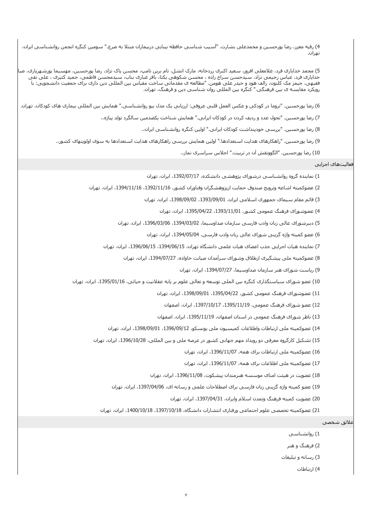4) رقيه معزز، رضا پورحسين و محمدعلى بشارت. "آسيب شناسى حافظه بينايى دربيماران مبتلا به صرع." سومين کنگره انجمن روانشناسى ايران، تهران.

5) محمد خدايارى فرد، غلامعلى افروز، سعيد اکبرى زردخانه، مارک انشل، تام برين تامپ، محسن پاک نژاد، رضا پورحسين، مهسيما پورشـهريارى، صبا خدايارى فرد، عباس رحيمى نزاد، سيدحسن سراج زاده ، محسن شکوهى يکتا، باقر غبارى بناب، سيدمحسن فاطمى، حميد کثيرى ، على نقى فقيهى، جيمز مک کلنون، رالف هود و حيدر على هومن. "مطالعه ى مقدماتى ساخت مقياس بين المللى دين دارى براى جمعيت دانشجويى: با رويکرد مقايسه ى بين فرهنگى." کنگره بين المللى روان شناسى دين و فرهنگ، تهران.

6) رضا پورحسين. "تروما در کودکى و عکس العمل قلبى عروقى: ارزيابى يک مدل بيو روانشناسى." همايش بين المللى بيمارى هاى کودکان، تهران.

7) رضا پورحسين. "تحول عدد و رديف کردن در کودکان ايرانى." همايش شناخت يکصدمين سالگرد تولد پياژه.،

8) رضا پورحسين. "بررسى خودپنداشت کودکان ايرانى." اولين کنگره روانشناسى ايران.،

9) رضا پورحسين. "راهکارهاى هدايت استعدادها." اولين همايش بررسى راهکارهاى هدايت استعدادها به سوى اولويتهاى کشور.،

10) رضا پورحسين. "الگوونقش آن در تربيت." اجلاس سراسرى نماز.،

فعاليتهاى اجرايى

1) نماينده گروه روانشناسى درشوراى پژوهشى دانشکده، ،1392/07/17 ايران، تهران

2) عضوکميته اشاعه وترويج صندوق حمايت ازپژوهشگران وفناوران کشور، ،1392/11/16 ،1394/11/16 ايران، تهران

3) قائم مقام سيماى جمهورى اسلامى ايران، ،1393/09/01 ،1398/09/02 ايران، تهران

4) عضوشوراى فرهنگ عمومى کشور، ،1393/11/01 ،1395/04/22 ايران، تهران

5) دبيرشوراى عالى زبان وادب فارسى سازمان صداوسيما، ،1394/03/02 ،1396/03/06 ايران، تهران

6) عضو کميته واژه گزينى شوراى عالى زبان وادب فارسى، ،1394/05/04 ايران، تهران

7) نماينده هيات اجرايى جذب اعضاى هيات علمى دانشگاه تهران، ،1394/06/15 ،1396/06/15 ايران، تهران

8) عضوکميته ملى پيشگيرى ازطلاق وشوراى سرآمدان صيانت خاواده، ،1394/07/27 ايران، تهران

9) رياست شوراى هنر سازمان صداوسيما، 1394/07/27، ايران، تهران

10) عضو شوراى سياستگذارى کنگره بين الملى توسعه و تعالى علوم بر پايه عقلانيت و حياتى، ،1395/01/16 ايران، تهران

11) عضوشوراى فرهنگ عمومى کشور، ،1395/04/22 ،1398/09/01 ايران، تهران

12) عضو شوراى فرهنگ عمومى، ،1395/11/19 ،1397/10/17 ايران، اصفهان

13) ناظر شوراى فرهنگ عمومى در استان اصفهان، 1395/11/19، ايران، اصفهان

14) عضوکميته ملى ارتباطات واطلاعات کميسيون ملى يونسکو، 1396/09/12، 1398/09/01، ايران، تهران

15) تشکيل کارگروه معرفى دو رويداد مهم جهانى کشور در عرصه ملى و بين المللى، ،1396/10/28 ايران، تهران

16) عضوکميته ملى ارتباطات براى همه، ،1396/11/07 ايران، تهران

17) عضوکميته ملى اطلاعات براى همه، ،1396/11/07 ايران، تهران

18) عضويت در هيئت امناى موسسه هنرمندان پيشکوت، ،1396/11/08 ايران، تهران

19) عضو کميته واژه گزينى زبان فارسى براى اصطلاحات علمى و رسانه اى، ،1397/04/06 ايران، تهران

20) عضويت کميته فرهنگ وتمدن اسلام وايران، ،1397/04/31 ايران، تهران

21) عضوکميته تخصصى علوم اجتماعى ورفتارى انتشارات دانشگاه، ،1397/10/18 ،1400/10/18 ايران، تهران

## علائق شخصى

1) روانشناسى

2) فرهنگ و هنر

3) رسانه و تبليغات

4) ارتباطات